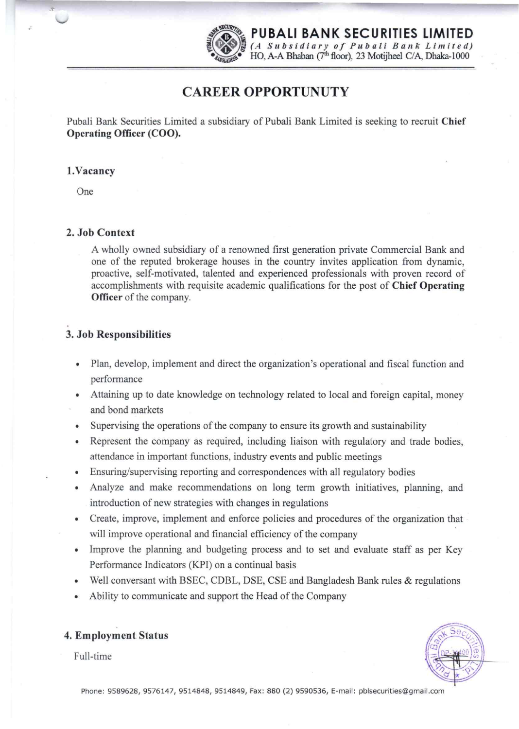

*';Rr~~* **PUBALI BANK SECURITIES LIMITED**  ~ ~.~ H*(A Sub s i d i a r y of Pub a u B a It k Lim i t e fl) ••• ·4(iGLAll~~·* HO, A-A Bhaban (7th floor), 23 Motijheel CIA, Dhaka-lOOO

# **CAREER OPPORTUNUTY**

Pubali Bank Securities Limited a subsidiary of Pubali Bank Limited is seeking to recruit **Chief Operating Officer (COO).** 

## **l.Vacancy**

One

## **2. Job Context**

A wholly owned subsidiary of a renowned first generation private Commercial Bank and one of the reputed brokerage houses in the country invites application from dynamic, proactive, self-motivated, talented and experienced professionals with proven record of accomplishments with requisite academic qualifications for the post of **Chief Operating Officer** of the company.

# **3. Job Responsibilities**

- Plan, develop, implement and direct the organization's operational and fiscal function and performance
- Attaining up to date knowledge on technology related to local and foreign capital, money and bond markets
- Supervising the operations of the company to ensure its growth and sustainability
- Represent the company as required, including liaison with regulatory and trade bodies, attendance in important functions, industry events and public meetings
- Ensuring/supervising reporting and correspondences with all regulatory bodies
- Analyze and make recommendations on long term growth initiatives, planning, and introduction of new strategies with changes in regulations
- Create, improve, implement and enforce policies and procedures of the organization that will improve operational and financial efficiency of the company
- Improve the planning and budgeting process and to set and evaluate staff as per Key Performance Indicators (KPI) on a continual basis
- Well conversant with BSEC, CDBL, DSE, CSE and Bangladesh Bank rules & regulations
- Ability to communicate and support the Head of the Company



Full-time